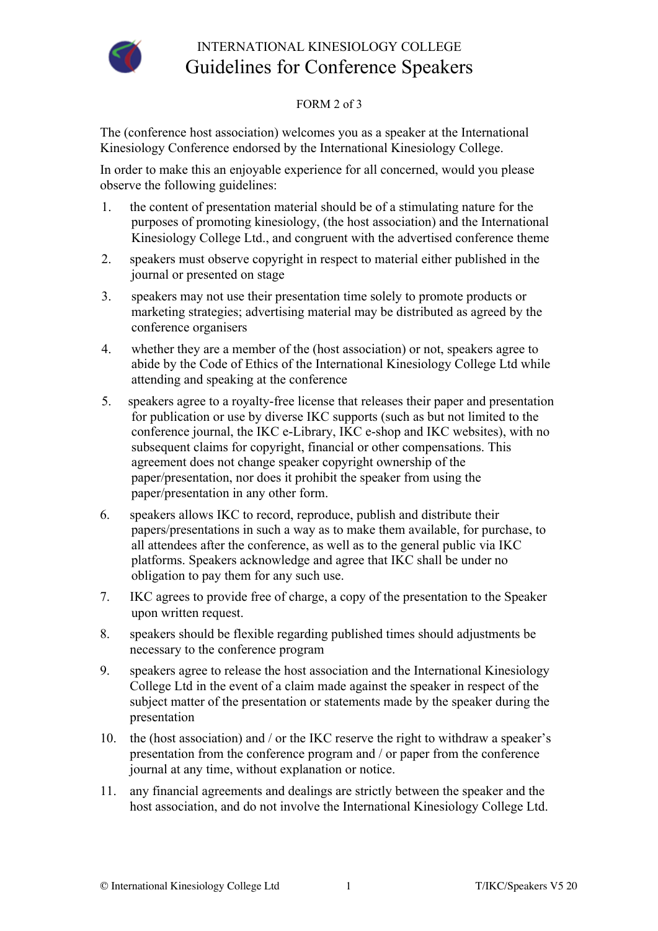



## FORM 2 of 3

The (conference host association) welcomes you as a speaker at the International Kinesiology Conference endorsed by the International Kinesiology College.

In order to make this an enjoyable experience for all concerned, would you please observe the following guidelines:

- 1. the content of presentation material should be of a stimulating nature for the purposes of promoting kinesiology, (the host association) and the International Kinesiology College Ltd., and congruent with the advertised conference theme
- 2. speakers must observe copyright in respect to material either published in the journal or presented on stage
- 3. speakers may not use their presentation time solely to promote products or marketing strategies; advertising material may be distributed as agreed by the conference organisers
- 4. whether they are a member of the (host association) or not, speakers agree to abide by the Code of Ethics of the International Kinesiology College Ltd while attending and speaking at the conference
- 5. speakers agree to a royalty-free license that releases their paper and presentation for publication or use by diverse IKC supports (such as but not limited to the conference journal, the IKC e-Library, IKC e-shop and IKC websites), with no subsequent claims for copyright, financial or other compensations. This agreement does not change speaker copyright ownership of the paper/presentation, nor does it prohibit the speaker from using the paper/presentation in any other form.
- 6. speakers allows IKC to record, reproduce, publish and distribute their papers/presentations in such a way as to make them available, for purchase, to all attendees after the conference, as well as to the general public via IKC platforms. Speakers acknowledge and agree that IKC shall be under no obligation to pay them for any such use.
- 7. IKC agrees to provide free of charge, a copy of the presentation to the Speaker upon written request.
- 8. speakers should be flexible regarding published times should adjustments be necessary to the conference program
- 9. speakers agree to release the host association and the International Kinesiology College Ltd in the event of a claim made against the speaker in respect of the subject matter of the presentation or statements made by the speaker during the presentation
- 10. the (host association) and / or the IKC reserve the right to withdraw a speaker's presentation from the conference program and / or paper from the conference journal at any time, without explanation or notice.
- 11. any financial agreements and dealings are strictly between the speaker and the host association, and do not involve the International Kinesiology College Ltd.